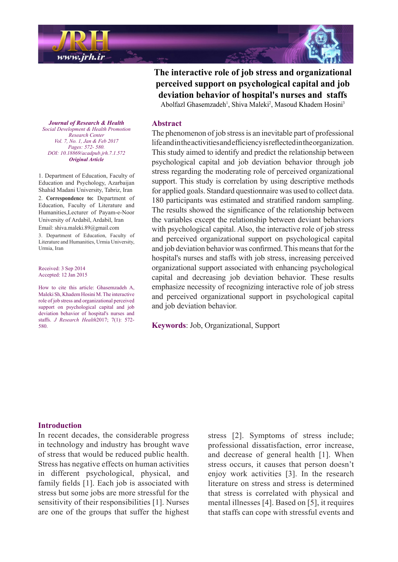

The interactive role of job stress and organizational **perceived** support on psychological capital and job deviation behavior of hospital's nurses and staffs

Abolfazl Ghasemzadeh<sup>1</sup>, Shiva Maleki<sup>2</sup>, Masoud Khadem Hosini<sup>3</sup>

# **Abstract**

The phenomenon of job stress is an inevitable part of professional life and in the activities and efficiency is reflected in the organization. This study aimed to identify and predict the relationship between psychological capital and job deviation behavior through job stress regarding the moderating role of perceived organizational support. This study is correlation by using descriptive methods for applied goals. Standard questionnaire was used to collect data. 180 participants was estimated and stratified random sampling. The results showed the significance of the relationship between the variables except the relationship between deviant behaviors with psychological capital. Also, the interactive role of job stress and perceived organizational support on psychological capital and job deviation behavior was confirmed. This means that for the hospital's nurses and staffs with job stress, increasing perceived organizational support associated with enhancing psychological capital and decreasing job deviation behavior. These results emphasize necessity of recognizing interactive role of job stress and perceived organizational support in psychological capital and job deviation behavior.

Keywords: Job. Organizational. Support

**Journal of Research & Health**  *Promotion Health & Development Social Center Research Vol. 7, No. 1, Jan & Feb 2017 Pages: 572- 580. DOI*: 10.18869/acadpub.jrh.7.1.572 *Article Original*

1. Department of Education, Faculty of Education and Psychology, Azarbaijan Shahid Madani University, Tabriz, Iran 2. Correspondence to: Department of Education, Faculty of Literature and Humanities, Lecturer of Payam-e-Noor University of Ardabil, Ardabil, Iran Email: shiva maleki.89@gmail.com 3. Department of Education, Faculty of Literature and Humanities, Urmia University, Urmia, Iran

Received: 3 Sep 2014 Accepted: 12 Jan 2015

How to cite this article: Ghasemzadeh A, Maleki Sh, Khadem Hosini M. The interactive role of job stress and organizational perceived support on psychological capital and job deviation behavior of hospital's nurses and staffs. *J Research Health* 2017; 7(1): 572-580.

# **Introduction**

In recent decades, the considerable progress in technology and industry has brought wave of stress that would be reduced public health. Stress has negative effects on human activities in different psychological, physical, and family fields [1]. Each job is associated with stress but some jobs are more stressful for the sensitivity of their responsibilities  $[1]$ . Nurses are one of the groups that suffer the highest

stress [2]. Symptoms of stress include; professional dissatisfaction, error increase, and decrease of general health  $[1]$ . When stress occurs, it causes that person doesn't enjoy work activities [3]. In the research literature on stress and stress is determined that stress is correlated with physical and mental illnesses [4]. Based on [5], it requires that staffs can cope with stressful events and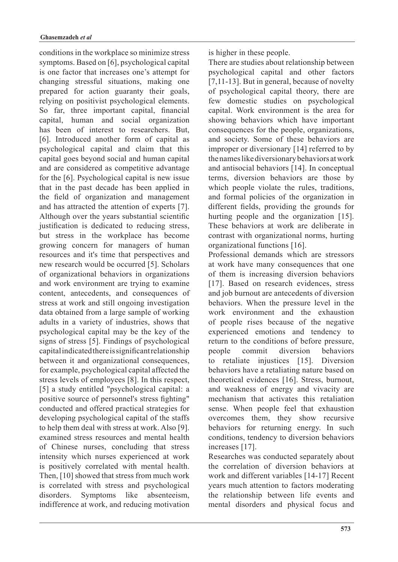conditions in the workplace so minimize stress symptoms. Based on [6], psychological capital is one factor that increases one's attempt for changing stressful situations, making one prepared for action guaranty their goals, relying on positivist psychological elements. So far, three important capital, financial capital, human and social organization has been of interest to researchers. But,  $[6]$ . Introduced another form of capital as psychological capital and claim that this capital goes beyond social and human capital and are considered as competitive advantage for the  $[6]$ . Psychological capital is new issue that in the past decade has been applied in the field of organization and management and has attracted the attention of experts [7]. Although over the years substantial scientific justification is dedicated to reducing stress, but stress in the workplace has become growing concern for managers of human resources and it's time that perspectives and new research would be occurred [5]. Scholars of organizational behaviors in organizations and work environment are trying to examine content, antecedents, and consequences of stress at work and still ongoing investigation data obtained from a large sample of working adults in a variety of industries, shows that psychological capital may be the key of the signs of stress  $[5]$ . Findings of psychological capital indicated there is significant relationship between it and organizational consequences, for example, psychological capital affected the stress levels of employees [8]. In this respect, [5] a study entitled "psychological capital: a positive source of personnel's stress fighting" conducted and offered practical strategies for developing psychological capital of the staffs to help them deal with stress at work. Also [9]. examined stress resources and mental health of Chinese nurses, concluding that stress intensity which nurses experienced at work is positively correlated with mental health. Then,  $[10]$  showed that stress from much work is correlated with stress and psychological disorders. Symptoms like absenteeism. indifference at work, and reducing motivation is higher in these people.

There are studies about relationship between psychological capital and other factors [7,11-13]. But in general, because of novelty of psychological capital theory, there are few domestic studies on psychological capital. Work environment is the area for showing behaviors which have important consequences for the people, organizations, and society. Some of these behaviors are improper or diversionary  $[14]$  referred to by the names like diversionary behaviors at work and antisocial behaviors  $[14]$ . In conceptual terms, diversion behaviors are those by which people violate the rules, traditions, and formal policies of the organization in different fields, providing the grounds for hurting people and the organization  $[15]$ . These behaviors at work are deliberate in contrast with organizational norms, hurting organizational functions [16].

Professional demands which are stressors at work have many consequences that one of them is increasing diversion behaviors [17]. Based on research evidences, stress and job burnout are antecedents of diversion behaviors. When the pressure level in the work environment and the exhaustion of people rises because of the negative experienced emotions and tendency to return to the conditions of before pressure. people commit diversion behaviors to retaliate injustices [15]. Diversion behaviors have a retaliating nature based on theoretical evidences [16]. Stress, burnout, and weakness of energy and vivacity are mechanism that activates this retaliation sense. When people feel that exhaustion overcomes them, they show recursive behaviors for returning energy. In such conditions, tendency to diversion behaviors increases [17].

Researches was conducted separately about the correlation of diversion behaviors at work and different variables [14-17] Recent years much attention to factors moderating the relationship between life events and mental disorders and physical focus and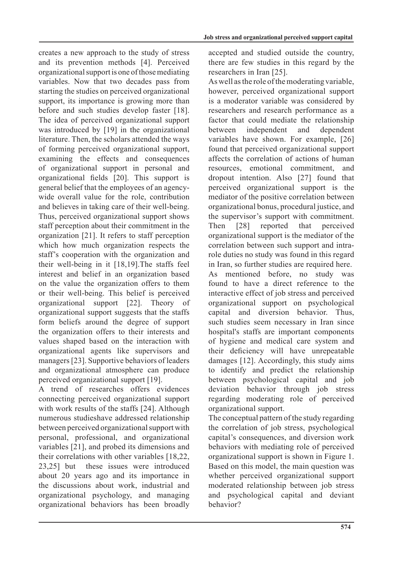creates a new approach to the study of stress and its prevention methods [4]. Perceived organizational support is one of those mediating variables. Now that two decades pass from starting the studies on perceived organizational support, its importance is growing more than before and such studies develop faster [18]. The idea of perceived organizational support was introduced by  $[19]$  in the organizational literature. Then, the scholars attended the ways of forming perceived organizational support, examining the effects and consequences of organizational support in personal and organizational fields [20]. This support is wide overall value for the role, contribution general belief that the employees of an agencyand believes in taking care of their well-being. Thus, perceived organizational support shows staff perception about their commitment in the organization [21]. It refers to staff perception which how much organization respects the staff's cooperation with the organization and their well-being in it  $[18,19]$ . The staffs feel interest and belief in an organization based on the value the organization offers to them or their well-being. This belief is perceived organizational support [22]. Theory of organizational support suggests that the staffs form beliefs around the degree of support the organization offers to their interests and values shaped based on the interaction with organizational agents like supervisors and managers [23]. Supportive behaviors of leaders and organizational atmosphere can produce perceived organizational support [19].

A trend of researches offers evidences connecting perceived organizational support with work results of the staffs  $[24]$ . Although numerous studieshave addressed relationship between perceived organizational support with personal, professional, and organizational variables [21], and probed its dimensions and their correlations with other variables  $[18.22]$ . 23,251 but these issues were introduced about 20 years ago and its importance in the discussions about work, industrial and organizational psychology, and managing organizational behaviors has been broadly accepted and studied outside the country, there are few studies in this regard by the researchers in Iran [25].

As well as the role of the moderating variable, however, perceived organizational support is a moderator variable was considered by researchers and research performance as a factor that could mediate the relationship between independent and dependent variables have shown. For example, [26] found that perceived organizational support affects the correlation of actions of human resources emotional commitment and dropout intention. Also  $[27]$  found that perceived organizational support is the mediator of the positive correlation between organizational bonus, procedural justice, and the supervisor's support with commitment. Then [28] reported that perceived organizational support is the mediator of the role duties no study was found in this regard correlation between such support and intrain Iran, so further studies are required here. As mentioned before, no study was found to have a direct reference to the interactive effect of job stress and perceived organizational support on psychological capital and diversion behavior. Thus, such studies seem necessary in Iran since hospital's staffs are important components of hygiene and medical care system and their deficiency will have unrepeatable damages  $[12]$ . Accordingly, this study aims to identify and predict the relationship between psychological capital and job deviation behavior through job stress regarding moderating role of perceived organizational support.

The conceptual pattern of the study regarding the correlation of job stress, psychological capital's consequences, and diversion work behaviors with mediating role of perceived organizational support is shown in Figure 1. Based on this model, the main question was whether perceived organizational support moderated relationship between job stress and psychological capital and deviant behavior?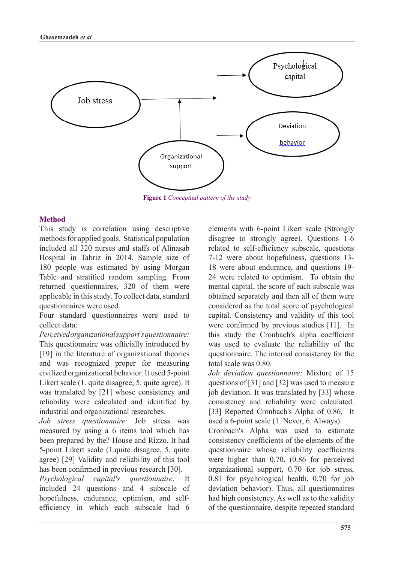

**Figure** 1 Conceptual pattern of the study

# **Method**

This study is correlation using descriptive methods for applied goals. Statistical population included all 320 nurses and staffs of Alinasab Hospital in Tabriz in 2014. Sample size of 180 people was estimated by using Morgan Table and stratified random sampling. From returned questionnaires, 320 of them were applicable in this study. To collect data, standard questionnaires were used.

Four standard questionnaires were used to collect data:

*Perceived* organizational support's questionnaire: This questionnaire was officially introduced by  $[19]$  in the literature of organizational theories and was recognized proper for measuring civilized organizational behavior. It used 5-point Likert scale (1. quite disagree, 5. quite agree). It was translated by  $[21]$  whose consistency and reliability were calculated and identified by industrial and organizational researches.

Job stress questionnaire: Job stress was measured by using a 6 items tool which has been prepared by the? House and Rizzo. It had 5-point Likert scale (1. quite disagree, 5. quite agree) [29] Validity and reliability of this tool has been confirmed in previous research [30].

*Psychological capital's questionnaire:* It included 24 questions and 4 subscale of efficiency in which each subscale had 6 hopefulness, endurance, optimism, and selfelements with 6-point Likert scale (Strongly disagree to strongly agree). Questions 1-6 related to self-efficiency subscale, questions 7-12 were about hopefulness, questions 13-18 were about endurance, and questions 19-24 were related to optimism. To obtain the mental capital, the score of each subscale was obtained separately and then all of them were considered as the total score of psychological capital. Consistency and validity of this tool were confirmed by previous studies  $[11]$ . In this study the Cronbach's alpha coefficient was used to evaluate the reliability of the questionnaire. The internal consistency for the total scale was  $0.80$ 

Job deviation questionnaire: Mixture of 15 questions of  $[31]$  and  $[32]$  was used to measure job deviation. It was translated by [33] whose consistency and reliability were calculated. [33] Reported Cronbach's Alpha of 0.86. It used a 6-point scale  $(1.$  Never, 6. Always).

Cronbach's Alpha was used to estimate consistency coefficients of the elements of the questionnaire whose reliability coefficients were higher than  $0.70$ .  $(0.86$  for perceived organizational support,  $0.70$  for job stress,  $0.81$  for psychological health,  $0.70$  for job deviation behavior). Thus, all questionnaires had high consistency. As well as to the validity of the questionnaire, despite repeated standard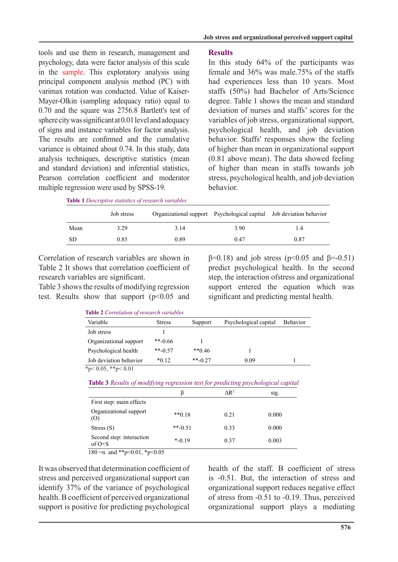tools and use them in research, management and psychology, data were factor analysis of this scale in the sample. This exploratory analysis using principal component analysis method (PC) with Mayer-Olkin (sampling adequacy ratio) equal to varimax rotation was conducted. Value of Kaiser- $0.70$  and the square was  $2756.8$  Bartlett's test of sphere city was significant at  $0.01$  level and adequacy of signs and instance variables for factor analysis. The results are confirmed and the cumulative variance is obtained about 0.74. In this study, data analysis techniques, descriptive statistics (mean and standard deviation) and inferential statistics Pearson correlation coefficient and moderator multiple regression were used by SPSS-19.

# **Results**

In this study  $64\%$  of the participants was female and  $36\%$  was male  $.75\%$  of the staffs had experiences less than 10 years. Most staffs (50%) had Bachelor of Arts/Science degree. Table 1 shows the mean and standard deviation of nurses and staffs' scores for the variables of job stress, organizational support, psychological health, and job deviation behavior. Staffs' responses show the feeling of higher than mean in organizational support  $(0.81)$  above mean). The data showed feeling of higher than mean in staffs towards job stress, psychological health, and job deviation .behavior

| Table 1 Descriptive statistics of research variables |  |  |
|------------------------------------------------------|--|--|
|------------------------------------------------------|--|--|

|           | Job stress |      |      | Organizational support Psychological capital Job deviation behavior |
|-----------|------------|------|------|---------------------------------------------------------------------|
| Mean      | 3.29       | 3.14 | 3.90 | 1.4                                                                 |
| <b>SD</b> | 0.85       | 0.89 | 0.47 | 0.87                                                                |

Correlation of research variables are shown in Table 2 It shows that correlation coefficient of research variables are significant.

Table 3 shows the results of modifying regression test. Results show that support  $(p<0.05$  and  $\beta$ =0.18) and job stress (p<0.05 and  $\beta$ =-0.51) predict psychological health. In the second step, the interaction of stress and organizational support entered the equation which was significant and predicting mental health.

|                        | <b>Table 2</b> Correlation of research variables |              |                       |                 |
|------------------------|--------------------------------------------------|--------------|-----------------------|-----------------|
| Variable               | <b>Stress</b>                                    | Support      | Psychological capital | <b>Behavior</b> |
| Job stress             |                                                  |              |                       |                 |
| Organizational support | $**-0.66$                                        |              |                       |                 |
| Psychological health   | $**-0.57$                                        | $**0.46$     |                       |                 |
| Job deviation behavior | $*0.12$                                          | $**_{-0}$ 27 | 0.09                  |                 |
| 4.00744.01             |                                                  |              |                       |                 |

\*p< $0.05$ , \*\*p< $0.01$ 

**Table 3** Results of modifying regression test for predicting psychological capital

|                                             |             | $\mathsf{AR}^2$ | sig.  |
|---------------------------------------------|-------------|-----------------|-------|
| First step: main effects                    |             |                 |       |
| Organizational support<br>(0)               | $**0.18$    | 0.21            | 0.000 |
| Stress $(S)$                                | $**-0.51$   | 0.33            | 0.000 |
| Second step: interaction<br>of $O \times S$ | $*_{-0.19}$ | 0.37            | 0.003 |
| .<br>.                                      |             |                 |       |

 $180 = n$  and \*\*p<0.01, \*p<0.05

It was observed that determination coefficient of stress and perceived organizational support can identify  $37%$  of the variance of psychological health. B coefficient of perceived organizational support is positive for predicting psychological health of the staff B coefficient of stress is  $-0.51$ . But, the interaction of stress and organizational support reduces negative effect of stress from  $-0.51$  to  $-0.19$ . Thus, perceived organizational support plays a mediating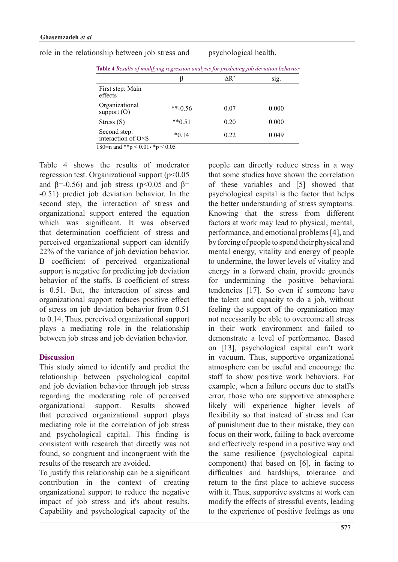|                                             |           | $\mathsf{AR}^2$ | SIg.  |
|---------------------------------------------|-----------|-----------------|-------|
| First step: Main<br>effects                 |           |                 |       |
| Organizational<br>support $(O)$             | $**-0.56$ | 0.07            | 0.000 |
| Stress $(S)$                                | $**0.51$  | 0.20            | 0.000 |
| Second step:<br>interaction of $O \times S$ | $*0.14$   | 0.22            | 0.049 |

role in the relationship between job stress and psychological health.

Table 4 shows the results of moderator regression test. Organizational support  $(p<0.05$ and  $\beta$ =-0.56) and job stress (p<0.05 and  $\beta$ =  $-0.51$ ) predict job deviation behavior. In the second step, the interaction of stress and organizational support entered the equation which was significant. It was observed that determination coefficient of stress and perceived organizational support can identify 22% of the variance of job deviation behavior. B coefficient of perceived organizational support is negative for predicting job deviation behavior of the staffs. B coefficient of stress is  $0.51$ . But, the interaction of stress and organizational support reduces positive effect of stress on job deviation behavior from 0.51 to  $0.14$ . Thus, perceived organizational support plays a mediating role in the relationship between job stress and job deviation behavior.

# **Discussion**

This study aimed to identify and predict the relationship between psychological capital and job deviation behavior through job stress regarding the moderating role of perceived organizational support. Results showed that perceived organizational support plays mediating role in the correlation of job stress and psychological capital. This finding is consistent with research that directly was not found, so congruent and incongruent with the results of the research are avoided.

To justify this relationship can be a significant contribution in the context of creating organizational support to reduce the negative impact of job stress and it's about results. Capability and psychological capacity of the people can directly reduce stress in a way that some studies have shown the correlation of these variables and [5] showed that psychological capital is the factor that helps the better understanding of stress symptoms. Knowing that the stress from different factors at work may lead to physical, mental, performance, and emotional problems [4], and by forcing of people to spend their physical and mental energy, vitality and energy of people to undermine, the lower levels of vitality and energy in a forward chain, provide grounds for undermining the positive behavioral tendencies [17]. So even if someone have the talent and capacity to do a job, without feeling the support of the organization may not necessarily be able to overcome all stress in their work environment and failed to demonstrate a level of performance. Based on  $[13]$ , psychological capital can't work in vacuum. Thus, supportive organizational atmosphere can be useful and encourage the staff to show positive work behaviors. For example, when a failure occurs due to staff's error, those who are supportive atmosphere likely will experience higher levels of flexibility so that instead of stress and fear of punishment due to their mistake, they can focus on their work, failing to back overcome and effectively respond in a positive way and the same resilience (psychological capital component) that based on  $[6]$ , in facing to difficulties and hardships, tolerance and return to the first place to achieve success with it. Thus, supportive systems at work can modify the effects of stressful events, leading to the experience of positive feelings as one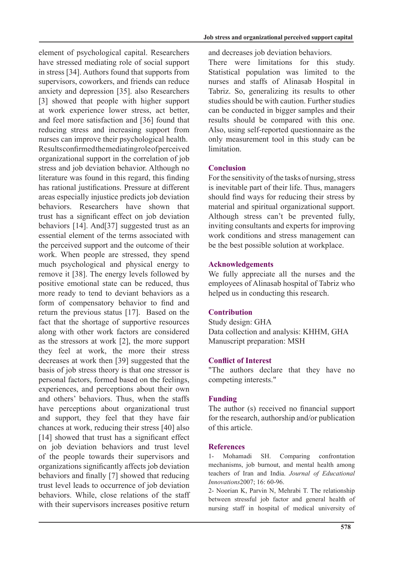element of psychological capital. Researchers have stressed mediating role of social support in stress [34]. Authors found that supports from supervisors, coworkers, and friends can reduce anxiety and depression [35]. also Researchers [3] showed that people with higher support at work experience lower stress, act better, and feel more satisfaction and [36] found that reducing stress and increasing support from nurses can improve their psychological health. Results confirmed the mediating role of perceived organizational support in the correlation of job stress and job deviation behavior. Although no literature was found in this regard, this finding has rational justifications. Pressure at different areas especially injustice predicts job deviation behaviors. Researchers have shown that trust has a significant effect on job deviation behaviors  $[14]$ . And  $[37]$  suggested trust as an essential element of the terms associated with the perceived support and the outcome of their work. When people are stressed, they spend much psychological and physical energy to remove it [38]. The energy levels followed by positive emotional state can be reduced, thus more ready to tend to deviant behaviors as a form of compensatory behavior to find and return the previous status [17]. Based on the fact that the shortage of supportive resources along with other work factors are considered as the stressors at work  $[2]$ , the more support they feel at work, the more their stress decreases at work then [39] suggested that the basis of job stress theory is that one stressor is personal factors, formed based on the feelings, experiences, and perceptions about their own and others' behaviors. Thus, when the staffs have perceptions about organizational trust and support, they feel that they have fair chances at work, reducing their stress [40] also  $[14]$  showed that trust has a significant effect on job deviation behaviors and trust level of the people towards their supervisors and organizations significantly affects job deviation behaviors and finally [7] showed that reducing trust level leads to occurrence of job deviation behaviors While close relations of the staff with their supervisors increases positive return and decreases job deviation behaviors.

There were limitations for this study. Statistical population was limited to the nurses and staffs of Alinasab Hospital in Tabriz. So, generalizing its results to other studies should be with caution. Further studies can be conducted in bigger samples and their results should be compared with this one. Also, using self-reported questionnaire as the only measurement tool in this study can be .limitation

### **Conclusion**

For the sensitivity of the tasks of nursing, stress is inevitable part of their life. Thus, managers should find ways for reducing their stress by material and spiritual organizational support. Although stress can't be prevented fully, inviting consultants and experts for improving work conditions and stress management can be the best possible solution at workplace.

### **Acknowledgements**

We fully appreciate all the nurses and the employees of Alinasab hospital of Tabriz who helped us in conducting this research.

# **Contribution**

Study design: GHA Data collection and analysis: KHHM, GHA Manuscript preparation: MSH

# **Conflict of Interest**

"The authors declare that they have no competing interests."

# **Funding**

The author (s) received no financial support for the research, authorship and/or publication of this article

#### **References**

1- Mohamadi SH. Comparing confrontation mechanisms, job burnout, and mental health among teachers of Iran and India. Journal of Educational Innovations<sub>2007</sub>; 16: 60-96.

2- Noorian K, Parvin N, Mehrabi T. The relationship between stressful job factor and general health of nursing staff in hospital of medical university of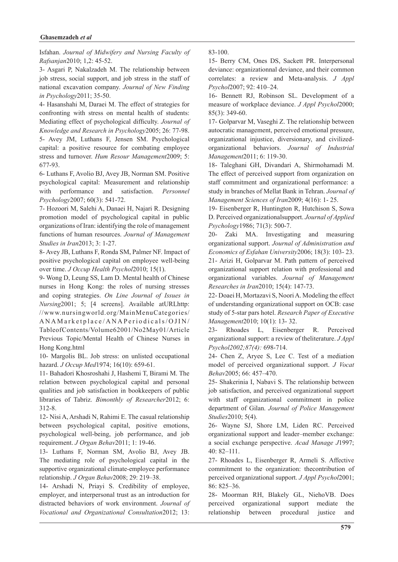#### Ghasemzadeh et al

**Isfahan.** Journal of Midwifery and Nursing Faculty of Rafsanjan2010; 1,2: 45-52.

3- Asgari P, Nakalzadeh M. The relationship between job stress, social support, and job stress in the staff of national excavation company. Journal of New Finding in Psychology 2011; 35-50.

4- Hasanshahi M, Daraei M. The effect of strategies for confronting with stress on mental health of students: Mediating effect of psychological difficulty. Journal of Knowledge and Research in Psychology 2005; 26: 77-98. 5- Avey JM, Luthans F, Jensen SM. Psychological capital: a positive resource for combating employee stress and turnover. Hum Resour Management 2009; 5: 677-93.

6- Luthans F, Avolio BJ, Avey JB, Norman SM. Positive psychological capital: Measurement and relationship with performance and satisfaction. Personnel Psychology2007; 60(3): 541-72.

7- Hozoori M, Salehi A, Danaei H, Najari R, Designing promotion model of psychological capital in public organizations of Iran: identifying the role of management functions of human resources. Journal of Management Studies in Iran 2013; 3: 1-27.

8- Avey JB, Luthans F, Ronda SM, Palmer NF. Impact of positive psychological capital on employee well-being over time. *J Occup Health Psychol* 2010; 15(1).

9- Wong D, Leung SS, Lam D. Mental health of Chinese nurses in Hong Kong: the roles of nursing stresses and coping strategies. On Line Journal of Issues in Nursing 2001; 5; [4 screens]. Available at URLhttp: //www.nursingworld.org/MainMenuCategories/ ANAMarketplace/ANAPeriodicals/OJIN/

TableofContents/Volume62001/No2May01/Article Previous Topic/Mental Health of Chinese Nurses in Hong Kong.html

10- Margolis BL. Job stress: on unlisted occupational hazard. *J Occup Med* 1974; 16(10): 659-61.

11- Bahadori Khosroshahi J, Hashemi T, Birami M. The relation between psychological capital and personal qualities and job satisfaction in bookkeepers of public libraries of Tabriz. Bimonthly of Researcher 2012; 6: 312-8.

12- Nisi A, Arshadi N, Rahimi E. The casual relationship between psychological capital, positive emotions, psychological well-being, job performance, and job requirement. *J Organ Behav* 2011; 1: 19-46.

13- Luthans F, Norman SM, Avolio BJ, Avey JB. The mediating role of psychological capital in the supportive organizational climate-employee performance relationship. *J Organ Behav* 2008; 29: 219-38.

14- Arshadi N, Priayi S. Credibility of employee, employer, and interpersonal trust as an introduction for distracted behaviors of work environment. Journal of Vocational and Organizational Consultation 2012; 13:

83-100.

15- Berry CM, Ones DS, Sackett PR. Interpersonal deviance: organizationnal deviance, and their common correlates: a review and Meta-analysis. *J Appl* Psychol<sub>2007</sub>; 92: 410-24.

16- Bennett RJ, Robinson SL. Development of a measure of workplace deviance. *J Appl Psychol* 2000;  $85(3)$ : 349-60.

17- Golparvar M, Vaseghi Z. The relationship between autocratic management, perceived emotional pressure, *organizational behaviors. Journal of Industrial* organizational injustice, diversionary, and civilized-Management<sub>2011</sub>; 6: 119-30.

18- Taleghani GH, Divandari A, Shirmohamadi M. The effect of perceived support from organization on staff commitment and organizational performance: a study in branches of Mellat Bank in Tehran. Journal of Management Sciences of Iran 2009; 4(16): 1-25.

19- Eisenberger R, Huntington R, Hutchison S, Sowa **D.** Perceived organizationalsupport. *Journal of Applied* Psychology<sup>1986</sup>; 71(3): 500-7.

20- Zaki MA. Investigating and measuring organizational support. Journal of Administration and Economics of Esfahan University 2006; 18(3): 103-23. 21- Arizi H, Golparvar M. Path pattern of perceived organizational support relation with professional and organizational variables. Journal of Management Researches in Iran 2010; 15(4): 147-73.

22- Doaei H, Mortazavi S, Noori A. Modeling the effect of understanding organizational support on OCB: case study of 5-star pars hotel. *Research Paper of Executive* Management<sub>2010</sub>; 10(1): 13-32.

23- Rhoades L, Eisenberger R. Perceived *organizational support: a review of the literature J Appl* Psychol2002;87(4): 698-714.

24- Chen Z, Aryee S, Lee C. Test of a mediation model of perceived organizational support. *J Vocat* Behav2005; 66: 457-470.

25- Shakerinia I, Nabavi S. The relationship between job satisfaction, and perceived organizational support with staff organizational commitment in police department of Gilan. Journal of Police Management Studies<sub>2010</sub>; 5(4).

26- Wayne SJ, Shore LM, Liden RC. Perceived organizational support and leader-member exchange: a social exchange perspective. Acad Manage J1997;  $40:82 - 111.$ 

27- Rhoades L, Eisenberger R, Armeli S. Affective commitment to the organization: the contribution of perceived organizational support. *J Appl Psychol* 2001; 86: 825 - 36.

28- Moorman RH, Blakely GL, NiehoVB. Does perceived organizational support mediate the relationship between procedural justice and